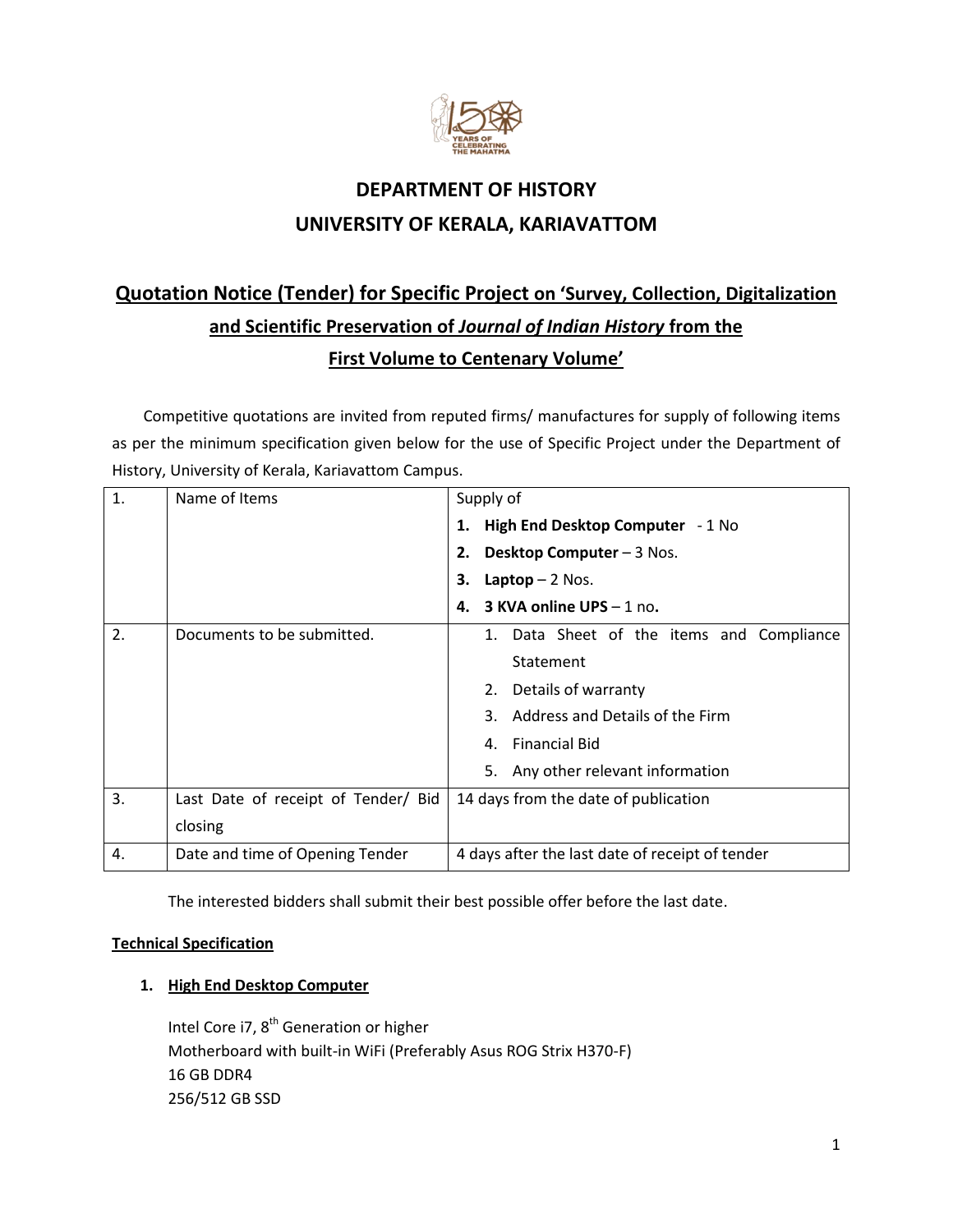

## **DEPARTMENT OF HISTORY UNIVERSITY OF KERALA, KARIAVATTOM**

# **Quotation Notice (Tender) for Specific Project on 'Survey, Collection, Digitalization and Scientific Preservation of** *Journal of Indian History* **from the First Volume to Centenary Volume'**

Competitive quotations are invited from reputed firms/ manufactures for supply of following items as per the minimum specification given below for the use of Specific Project under the Department of History, University of Kerala, Kariavattom Campus.

| 1. | Name of Items                       | Supply of                                       |
|----|-------------------------------------|-------------------------------------------------|
|    |                                     | High End Desktop Computer - 1 No<br>1.          |
|    |                                     | Desktop Computer - 3 Nos.<br>2.                 |
|    |                                     | Laptop $-2$ Nos.<br>3.                          |
|    |                                     | 3 KVA online UPS - 1 no.<br>4.                  |
| 2. | Documents to be submitted.          | 1. Data Sheet of the items and Compliance       |
|    |                                     | Statement                                       |
|    |                                     | Details of warranty<br>2.                       |
|    |                                     | Address and Details of the Firm                 |
|    |                                     | <b>Financial Bid</b><br>4.                      |
|    |                                     | 5.<br>Any other relevant information            |
| 3. | Last Date of receipt of Tender/ Bid | 14 days from the date of publication            |
|    | closing                             |                                                 |
| 4. | Date and time of Opening Tender     | 4 days after the last date of receipt of tender |

The interested bidders shall submit their best possible offer before the last date.

#### **Technical Specification**

### **1. High End Desktop Computer**

Intel Core i7, 8<sup>th</sup> Generation or higher Motherboard with built-in WiFi (Preferably Asus ROG Strix H370-F) 16 GB DDR4 256/512 GB SSD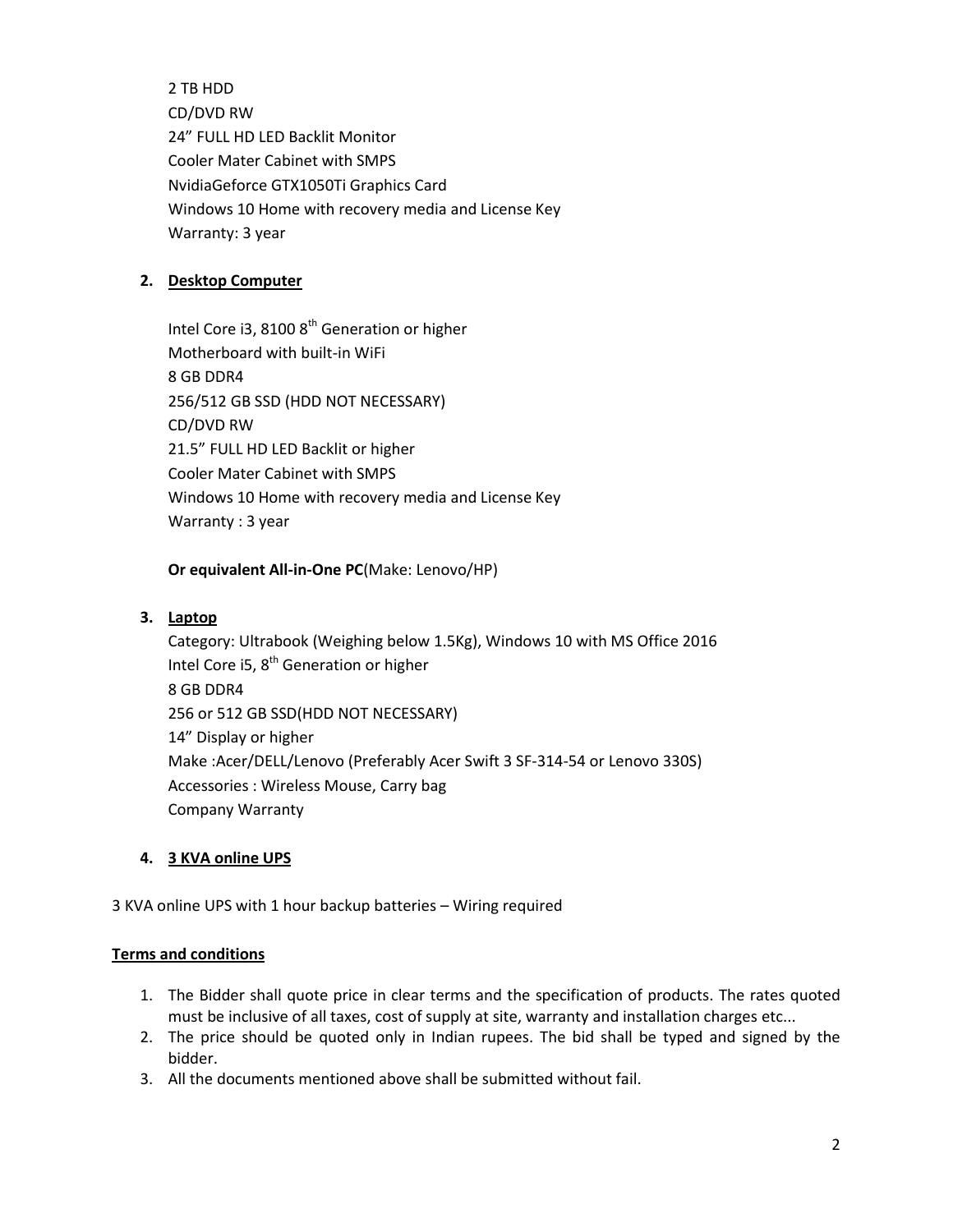2 TB HDD CD/DVD RW 24" FULL HD LED Backlit Monitor Cooler Mater Cabinet with SMPS NvidiaGeforce GTX1050Ti Graphics Card Windows 10 Home with recovery media and License Key Warranty: 3 year

#### **2. Desktop Computer**

Intel Core i3, 8100 8<sup>th</sup> Generation or higher Motherboard with built-in WiFi 8 GB DDR4 256/512 GB SSD (HDD NOT NECESSARY) CD/DVD RW 21.5" FULL HD LED Backlit or higher Cooler Mater Cabinet with SMPS Windows 10 Home with recovery media and License Key Warranty : 3 year

**Or equivalent All-in-One PC**(Make: Lenovo/HP)

#### **3. Laptop**

Category: Ultrabook (Weighing below 1.5Kg), Windows 10 with MS Office 2016 Intel Core i5, 8<sup>th</sup> Generation or higher 8 GB DDR4 256 or 512 GB SSD(HDD NOT NECESSARY) 14" Display or higher Make :Acer/DELL/Lenovo (Preferably Acer Swift 3 SF-314-54 or Lenovo 330S) Accessories : Wireless Mouse, Carry bag Company Warranty

#### **4. 3 KVA online UPS**

3 KVA online UPS with 1 hour backup batteries – Wiring required

#### **Terms and conditions**

- 1. The Bidder shall quote price in clear terms and the specification of products. The rates quoted must be inclusive of all taxes, cost of supply at site, warranty and installation charges etc...
- 2. The price should be quoted only in Indian rupees. The bid shall be typed and signed by the bidder.
- 3. All the documents mentioned above shall be submitted without fail.